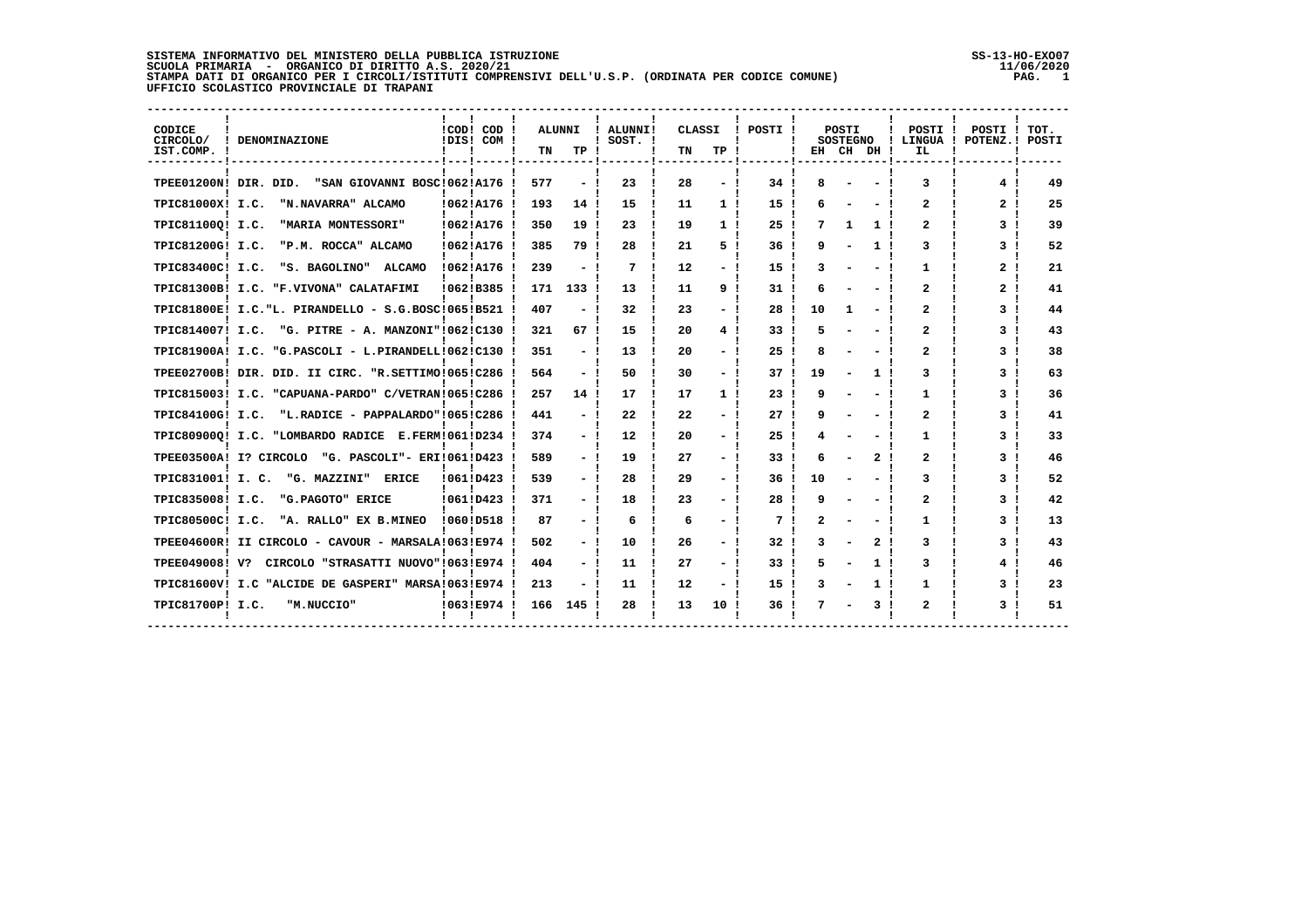## SISTEMA INFORMATIVO DEL MINISTERO DELLA PUBBLICA ISTRUZIONE<br>SCUOLA PRIMARIA - ORGANICO DI DIRITTO A.S. 2020/21<br>STAMPA DATI DI ORGANICO PER I CIRCOLI/ISTITUTI COMPRENSIVI DELL'U.S.P. (ORDINATA PER CODICE COMUNE) ---------<br>U

י<br>י

| CODICE<br>CIRCOLO/<br>IST.COMP. | <b>DENOMINAZIONE</b>                                 | !COD! COD<br>IDIS! COM ! | TN  | ALUNNI<br>TP. | ALUNNI!<br>SOST. ! | CLASSI<br>TN | TP.            | POSTI | EH | POSTI<br><b>SOSTEGNO</b><br>CH DH |   | POSTI<br>! LINGUA !<br>IL | POSTI !<br>POTENZ.! | TOT.<br>POSTI |
|---------------------------------|------------------------------------------------------|--------------------------|-----|---------------|--------------------|--------------|----------------|-------|----|-----------------------------------|---|---------------------------|---------------------|---------------|
| TPEE01200N! DIR. DID.           | "SAN GIOVANNI BOSC!062!A176                          |                          | 577 |               | 23                 | 28           |                | 34    |    |                                   |   | 3                         | 4                   | 49            |
| TPIC81000X! I.C.                | "N.NAVARRA" ALCAMO                                   | !062!A176                | 193 | 14 !          | 15                 | 11           | 1 <sub>1</sub> | 15    |    |                                   |   | 2                         | 2                   | 25            |
| TPIC81100Q! I.C.                | "MARIA MONTESSORI"                                   | !062!A176                | 350 | 19            | 23                 | 19           | 1 <sub>1</sub> | 25    |    | 1                                 | 1 | $\mathbf{z}$              | 3 <sub>1</sub>      | 39            |
| TPIC81200G! I.C.                | "P.M. ROCCA" ALCAMO                                  | !062!A176                | 385 | 79!           | 28                 | 21           | 5.             | 36    |    |                                   |   | 3                         | 31                  | 52            |
| TPIC83400C! I.C.                | "S. BAGOLINO"<br>ALCAMO                              | 10621A176 1              | 239 |               | 7                  | 12           |                | 15    |    |                                   |   | 1                         | 2<br>- 1            | 21            |
|                                 | TPIC81300B! I.C. "F.VIVONA" CALATAFIMI               | 10621B385                | 171 | 133 !         | 13                 | 11           | 9!             | 31    |    |                                   |   | $\mathbf{z}$              | 2                   | 41            |
|                                 | TPIC81800E! I.C. "L. PIRANDELLO - S.G.BOSC!065!B521  |                          | 407 |               | 32                 | 23           |                | 28    | 10 | 1                                 |   | $\overline{a}$            | 3 <sub>1</sub>      | 44            |
| TPIC814007! I.C.                | "G. PITRE - A. MANZONI"!062!C130                     |                          | 321 | 67 !          | 15                 | 20           | 41             | 33    |    |                                   |   | 2                         | 3 <sub>1</sub>      | 43            |
|                                 | TPIC81900A! I.C. "G.PASCOLI - L.PIRANDELL!062!C130   |                          | 351 |               | 13                 | 20           |                | 25    |    |                                   |   | $\overline{a}$            | 3 <sub>1</sub>      | 38            |
|                                 | TPEE02700B! DIR. DID. II CIRC. "R.SETTIMO!065!C286   |                          | 564 |               | 50                 | 30           |                | 37    | 19 |                                   |   | 3                         | 31                  | 63            |
|                                 | TPIC815003! I.C. "CAPUANA-PARDO" C/VETRAN!065!C286   |                          | 257 | 14 !          | 17                 | 17           | 1 <sub>1</sub> | 23    |    |                                   |   | 1                         | 31                  | 36            |
| TPIC84100G! I.C.                | "L.RADICE - PAPPALARDO"!065!C286                     |                          | 441 |               | 22                 | 22           |                | 27    |    |                                   |   | 2                         | 3                   | 41            |
|                                 | TPIC809000! I.C. "LOMBARDO RADICE E.FERM!061!D234    |                          | 374 |               | 12                 | 20           |                | 25    |    |                                   |   | 1                         | 3                   | 33            |
|                                 | TPEE03500A! I? CIRCOLO<br>"G. PASCOLI"- ERI!061!D423 |                          | 589 |               | 19                 | 27           |                | 33    |    |                                   |   | 2                         | 3                   | 46            |
| TPIC831001! I. C.               | "G. MAZZINI"<br><b>ERICE</b>                         | !061!D423                | 539 |               | 28                 | 29           |                | 36    | 10 |                                   |   | 3                         | 3                   | 52            |
| TPIC835008! I.C.                | "G.PAGOTO" ERICE                                     | 10611D423                | 371 |               | 18                 | 23           |                | 28    |    |                                   |   | 2                         | 3                   | 42            |
| TPIC80500C! I.C.                | "A. RALLO" EX B.MINEO                                | !060!D518                | 87  |               | 6                  | 6            |                | 7     |    |                                   |   | 1                         | 3                   | 13            |
|                                 | TPEE04600R! II CIRCOLO - CAVOUR - MARSALA!063!E974   |                          | 502 |               | 10                 | 26           |                | 32    |    |                                   | 2 | 3                         | 3                   | 43            |
| TPEE049008! V?                  | CIRCOLO "STRASATTI NUOVO"!063!E974                   |                          | 404 |               | 11                 | 27           |                | 33    |    |                                   |   | 3                         | 4                   | 46            |
|                                 | TPIC81600V! I.C "ALCIDE DE GASPERI" MARSA!063!E974   |                          | 213 |               | 11                 | 12           |                | 15    |    |                                   |   | 1                         | 3                   | 23            |
| TPIC81700P! I.C.                | "M.NUCCIO"                                           | !063!E974                | 166 | 145           | 28                 | 13           | 10             | 36    |    |                                   |   | 2                         | 3.                  | 51            |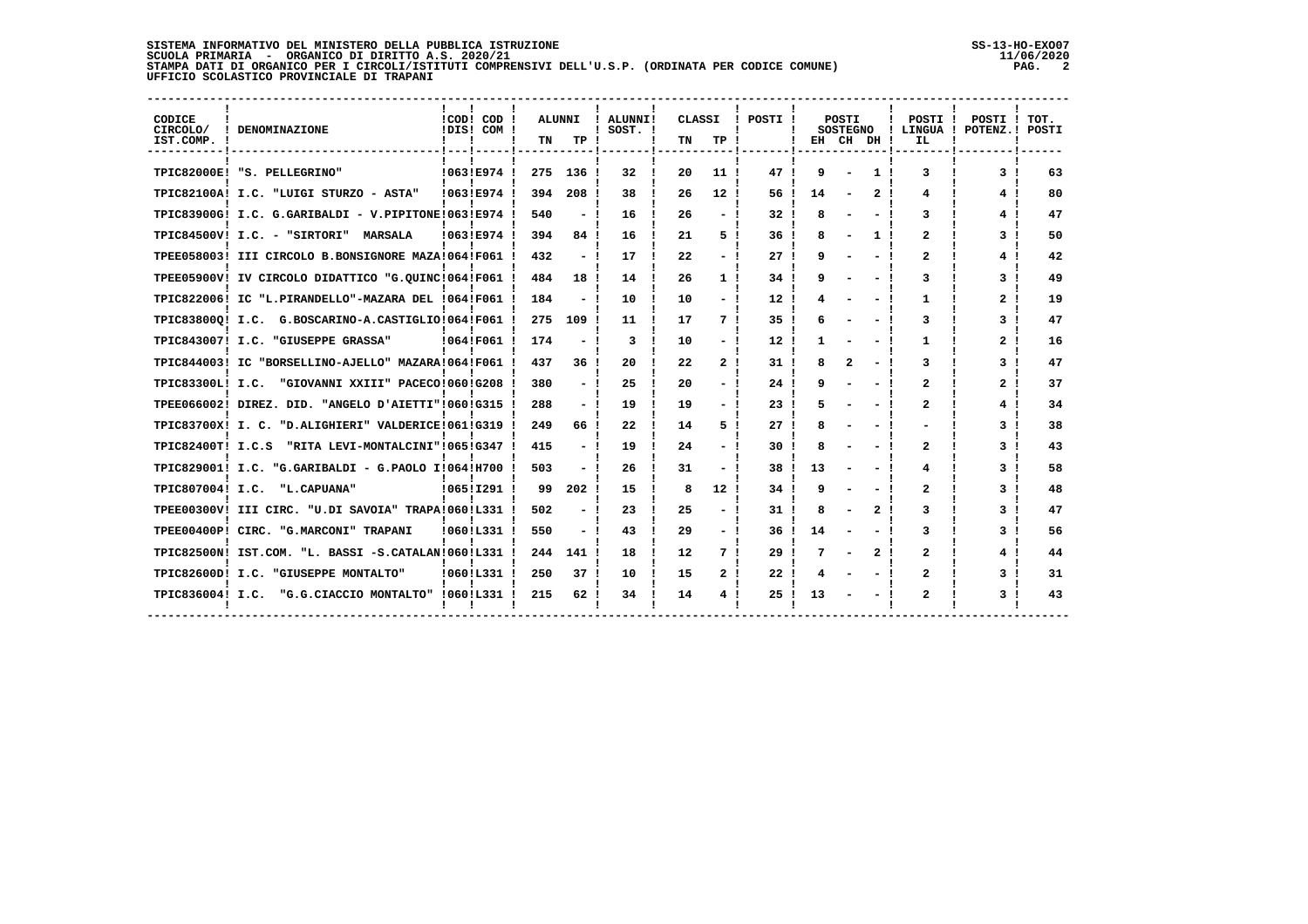## **SISTEMA INFORMATIVO DEL MINISTERO DELLA PUBBLICA ISTRUZIONE SS-13-HO-EXO07 SCUOLA PRIMARIA - ORGANICO DI DIRITTO A.S. 2020/21 11/06/2020 STAMPA DATI DI ORGANICO PER I CIRCOLI/ISTITUTI COMPRENSIVI DELL'U.S.P. (ORDINATA PER CODICE COMUNE) PAG. 2 UFFICIO SCOLASTICO PROVINCIALE DI TRAPANI**

| CODICE<br>CIRCOLO/<br>IST.COMP. ! | ! DENOMINAZIONE<br>------------------------        | !COD! COD<br>!DIS! COM ! | TN  | ALUNNI<br>TP. | ! ALUNNI!<br>$!$ SOST. $!$ | CLASSI<br>TN | TP !            | POSTI !<br>-1 | EH | POSTI<br><b>SOSTEGNO</b> | CH DH! | POSTI<br>Ι.<br>IL | POSTI<br>LINGUA ! POTENZ.! | TOT.<br>POSTI |
|-----------------------------------|----------------------------------------------------|--------------------------|-----|---------------|----------------------------|--------------|-----------------|---------------|----|--------------------------|--------|-------------------|----------------------------|---------------|
|                                   | TPIC82000E! "S. PELLEGRINO"                        | !063!E974                | 275 | 136           | 32                         | 20           | 11 <sub>1</sub> | 47            | 9  |                          |        | 3                 | 3.                         | 63            |
|                                   | TPIC82100A! I.C. "LUIGI STURZO - ASTA"             | 10631E974                | 394 | 208           | 38                         | 26           | 12 <sub>1</sub> | 56            | 14 |                          |        | 4                 | 4                          | 80            |
|                                   | TPIC83900G! I.C. G.GARIBALDI - V.PIPITONE!063!E974 |                          | 540 |               | 16                         | 26           |                 | 32            |    |                          |        | 3                 | 4                          | 47            |
|                                   | TPIC84500V! I.C. - "SIRTORI"<br><b>MARSALA</b>     | 10631E974                | 394 | 84            | 16                         | 21           | 5.              | 36            |    |                          |        | $\mathbf{2}$      | 31                         | 50            |
|                                   | TPEE058003! III CIRCOLO B.BONSIGNORE MAZA!064!F061 |                          | 432 |               | 17                         | 22           |                 | 27            |    |                          |        | 2                 | 4                          | 42            |
|                                   | TPEE05900V! IV CIRCOLO DIDATTICO "G.OUINC!064!F061 |                          | 484 | 18            | 14                         | 26           |                 | 34            |    |                          |        | 3                 | 3                          | 49            |
|                                   | TPIC822006! IC "L.PIRANDELLO"-MAZARA DEL !064!F061 |                          | 184 |               | 10                         | 10           |                 | 12            |    |                          |        | 1                 | 2.                         | 19            |
|                                   | TPIC838000! I.C. G.BOSCARINO-A.CASTIGLIO!064!F061  |                          | 275 | 109           | 11                         | 17           | 7!              | 35            |    |                          |        | 3                 | 3                          | 47            |
|                                   | TPIC843007! I.C. "GIUSEPPE GRASSA"                 | 10641F061                | 174 |               | 3                          | 10           |                 | 12            |    |                          |        | 1                 | 2                          | 16            |
|                                   | TPIC844003! IC "BORSELLINO-AJELLO" MAZARA!064!F061 |                          | 437 | 36            | 20                         | 22           | 2 <sub>1</sub>  | 31            |    | 2                        |        | 3                 | 3                          | 47            |
| TPIC83300L! I.C.                  | "GIOVANNI XXIII" PACECO!060!G208                   |                          | 380 |               | 25                         | 20           |                 | 24            |    |                          |        | $\mathbf{2}$      | 2                          | 37            |
|                                   | TPEE066002! DIREZ. DID. "ANGELO D'AIETTI"!060!G315 |                          | 288 |               | 19                         | 19           |                 | 23            |    |                          |        | $\mathbf{2}$      | 4!                         | 34            |
| TPIC83700X! I. C.                 | "D.ALIGHIERI" VALDERICE!061!G319                   |                          | 249 | 66            | 22                         | 14           | 5               | 27            |    |                          |        |                   | 3                          | 38            |
| TPIC82400T! I.C.S                 | "RITA LEVI-MONTALCINI"!065!G347                    |                          | 415 |               | 19                         | 24           |                 | 30            |    |                          |        | $\mathbf{2}$      | 31                         | 43            |
|                                   | TPIC829001! I.C. "G.GARIBALDI - G.PAOLO I!064!H700 |                          | 503 |               | 26                         | 31           |                 | 38            | 13 |                          |        | 4                 | 3                          | 58            |
| TPIC807004! I.C.                  | "L.CAPUANA"                                        | 10651I291                | 99  | 202           | 15                         | 8            | 12!             | 34            |    |                          |        | $\mathbf{2}$      | 31                         | 48            |
|                                   | TPEE00300V! III CIRC. "U.DI SAVOIA" TRAPA!060!L331 |                          | 502 |               | 23                         | 25           |                 | 31            |    |                          |        | 3                 | 3.                         | 47            |
|                                   | TPEE00400P! CIRC. "G.MARCONI" TRAPANI              | 10601L331                | 550 |               | 43                         | 29           |                 | 36            | 14 |                          |        | 3                 | 31                         | 56            |
|                                   | TPIC82500N! IST.COM. "L. BASSI -S.CATALAN!060!L331 |                          | 244 | 141           | 18                         | 12           | 7!              | 29            |    |                          |        | $\mathbf{2}$      | 4!                         | 44            |
|                                   | TPIC82600D! I.C. "GIUSEPPE MONTALTO"               | !060!L331                | 250 | 37 !          | 10                         | 15           | 2!              | 22            |    |                          |        | $\mathbf{2}$      | 31                         | 31            |
| TPIC836004! I.C.                  | "G.G.CIACCIO MONTALTO"                             | 10601L331                | 215 | 62 !          | 34                         | 14           |                 | 25            |    |                          |        |                   | 3                          | 43            |

 **------------------------------------------------------------------------------------------------------------------------------------**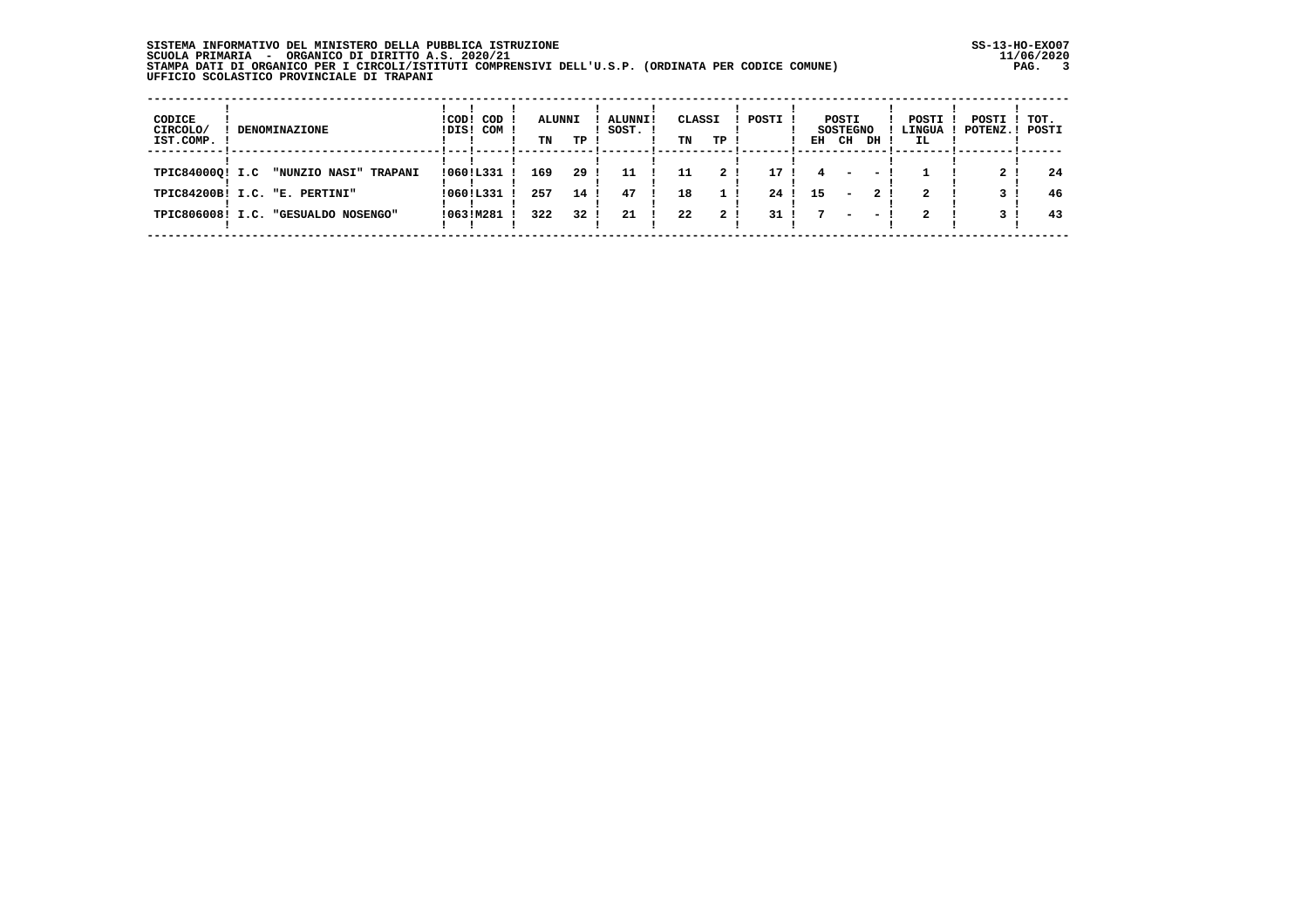## **SISTEMA INFORMATIVO DEL MINISTERO DELLA PUBBLICA ISTRUZIONE SS-13-HO-EXO07 SCUOLA PRIMARIA - ORGANICO DI DIRITTO A.S. 2020/21 11/06/2020 STAMPA DATI DI ORGANICO PER I CIRCOLI/ISTITUTI COMPRENSIVI DELL'U.S.P. (ORDINATA PER CODICE COMUNE) PAG. 3 UFFICIO SCOLASTICO PROVINCIALE DI TRAPANI**

| CODICE<br>CIRCOLO/<br>IST.COMP. | <b>DENOMINAZIONE</b>                                   | $ICODI$ $CODI$<br>!DIS! COM !    | <b>ALUNNI</b><br>TN | TP !            | <b>ALUNNI!</b><br>SOST. ! | CLASSI<br>TN | TP !                             | POSTI !                 | EH | POSTI<br><b>SOSTEGNO</b><br>CH | DH        | POSTI !<br>IL. | POSTI ! TOT.<br>! LINGUA ! POTENZ.! POSTI |          |
|---------------------------------|--------------------------------------------------------|----------------------------------|---------------------|-----------------|---------------------------|--------------|----------------------------------|-------------------------|----|--------------------------------|-----------|----------------|-------------------------------------------|----------|
| TPIC840000! I.C                 | "NUNZIO NASI" TRAPANI<br>TPIC84200B! I.C. "E. PERTINI" | $10601L331$ !<br>$10601L331$ $I$ | 169<br>257          | 29!<br>14 !     | 11<br>47                  | 11<br>18     | 2 <sub>1</sub><br>1 <sub>1</sub> | 17 <sub>1</sub><br>24 1 | 15 | $\overline{\phantom{0}}$       | - 1<br>2! | $\mathbf{2}$   |                                           | 24<br>46 |
|                                 | TPIC806008! I.C. "GESUALDO NOSENGO"                    | 1063IM281                        | 322                 | 32 <sub>1</sub> | 21                        | 22           | 2!                               | 31 <sub>1</sub>         |    | $\overline{\phantom{0}}$       | - 1       | $\mathbf{2}$   |                                           | 43       |